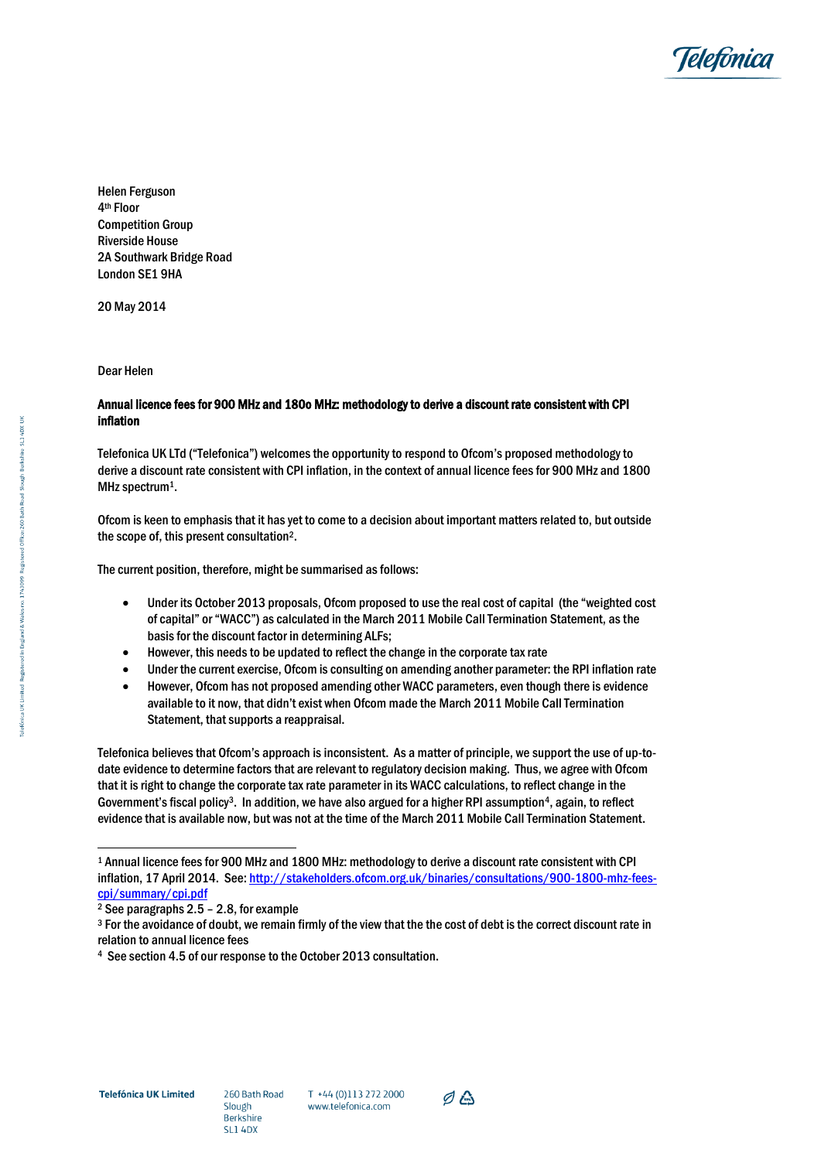

Helen Ferguson 4th Floor Competition Group Riverside House 2A Southwark Bridge Road London SE1 9HA

20 May 2014

Dear Helen

## Annual licence fees for 900 MHz and 180o MHz: methodology to derive a discount rate consistent with CPI inflation

Telefonica UK LTd ("Telefonica") welcomes the opportunity to respond to Ofcom's proposed methodology to derive a discount rate consistent with CPI inflation, in the context of annual licence fees for 900 MHz and 1800 MHz spectrum<sup>1</sup>.

Ofcom is keen to emphasis that it has yet to come to a decision about important matters related to, but outside the scope of, this present consultation<sup>2</sup> .

The current position, therefore, might be summarised as follows:

- Under its October 2013 proposals, Ofcom proposed to use the real cost of capital (the "weighted cost of capital" or "WACC") as calculated in the March 2011 Mobile Call Termination Statement, as the basis for the discount factor in determining ALFs;
- However, this needs to be updated to reflect the change in the corporate tax rate
- Under the current exercise, Ofcom is consulting on amending another parameter: the RPI inflation rate
- However, Ofcom has not proposed amending other WACC parameters, even though there is evidence available to it now, that didn't exist when Ofcom made the March 2011 Mobile Call Termination Statement, that supports a reappraisal.

Telefonica believes that Ofcom's approach is inconsistent. As a matter of principle, we support the use of up-todate evidence to determine factors that are relevant to regulatory decision making. Thus, we agree with Ofcom that it is right to change the corporate tax rate parameter in its WACC calculations, to reflect change in the Government's fiscal policy<sup>3</sup>. In addition, we have also argued for a higher RPI assumption<sup>4</sup>, again, to reflect evidence that is available now, but was not at the time of the March 2011 Mobile Call Termination Statement.

1



<sup>1</sup> Annual licence fees for 900 MHz and 1800 MHz: methodology to derive a discount rate consistent with CPI inflation, 17 April 2014. See[: http://stakeholders.ofcom.org.uk/binaries/consultations/900-1800-mhz-fees](http://stakeholders.ofcom.org.uk/binaries/consultations/900-1800-mhz-fees-cpi/summary/cpi.pdf)[cpi/summary/cpi.pdf](http://stakeholders.ofcom.org.uk/binaries/consultations/900-1800-mhz-fees-cpi/summary/cpi.pdf)

<sup>2</sup> See paragraphs 2.5 – 2.8, for example

<sup>3</sup> For the avoidance of doubt, we remain firmly of the view that the the cost of debt is the correct discount rate in relation to annual licence fees

<sup>4</sup> See section 4.5 of our response to the October 2013 consultation.